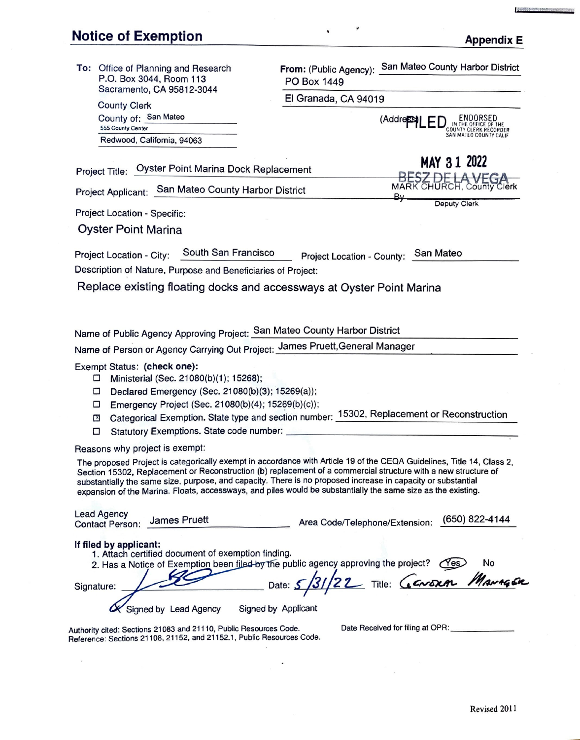## Notice of Exemption Appendix E

 $\bar{\mathbf{x}}$ 

| To: Office of Planning and Research<br>P.O. Box 3044, Room 113<br>Sacramento, CA 95812-3044<br><b>County Clerk</b><br>County of: San Mateo<br>555 County Center<br>Redwood, California, 94063                                                              | From: (Public Agency): San Mateo County Harbor District<br>PO Box 1449<br>El Granada, CA 94019<br>(Address)<br>IN THE OFFICE OF THE<br>COUNTY CLERK RECORDER<br>SAN MAILO COUNTY CALIF                                                                                                                                                                                                                                                                                  |
|------------------------------------------------------------------------------------------------------------------------------------------------------------------------------------------------------------------------------------------------------------|-------------------------------------------------------------------------------------------------------------------------------------------------------------------------------------------------------------------------------------------------------------------------------------------------------------------------------------------------------------------------------------------------------------------------------------------------------------------------|
| Oyster Point Marina Dock Replacement<br>Project Title:                                                                                                                                                                                                     | MAY 31 2022                                                                                                                                                                                                                                                                                                                                                                                                                                                             |
| Project Applicant: San Mateo County Harbor District                                                                                                                                                                                                        | BESZ DE LA VEGA<br>MARK CHURCH, County Clerk                                                                                                                                                                                                                                                                                                                                                                                                                            |
| Project Location - Specific:                                                                                                                                                                                                                               | B⊬<br>Deputy Clerk                                                                                                                                                                                                                                                                                                                                                                                                                                                      |
| <b>Oyster Point Marina</b>                                                                                                                                                                                                                                 |                                                                                                                                                                                                                                                                                                                                                                                                                                                                         |
| Project Location - City:<br>Description of Nature, Purpose and Beneficiaries of Project:<br>Replace existing floating docks and accessways at Oyster Point Marina                                                                                          | South San Francisco Project Location - County: San Mateo                                                                                                                                                                                                                                                                                                                                                                                                                |
| Name of Public Agency Approving Project: San Mateo County Harbor District<br>Name of Person or Agency Carrying Out Project: James Pruett, General Manager                                                                                                  |                                                                                                                                                                                                                                                                                                                                                                                                                                                                         |
| Exempt Status: (check one):<br>Ministerial (Sec. 21080(b)(1); 15268);<br>□<br>Declared Emergency (Sec. 21080(b)(3); 15269(a));<br>□<br>Emergency Project (Sec. 21080(b)(4); 15269(b)(c));<br>□<br>Ľ<br>Statutory Exemptions. State code number: _____<br>□ | Categorical Exemption. State type and section number: 15302, Replacement or Reconstruction                                                                                                                                                                                                                                                                                                                                                                              |
| Reasons why project is exempt:                                                                                                                                                                                                                             |                                                                                                                                                                                                                                                                                                                                                                                                                                                                         |
|                                                                                                                                                                                                                                                            | The proposed Project is categorically exempt in accordance with Article 19 of the CEQA Guidelines, Title 14, Class 2.<br>Section 15302, Replacement or Reconstruction (b) replacement of a commercial structure with a new structure of<br>substantially the same size, purpose, and capacity. There is no proposed increase in capacity or substantial<br>expansion of the Marina. Floats, accessways, and piles would be substantially the same size as the existing. |
| <b>Lead Agency</b><br>James Pruett<br><b>Contact Person:</b>                                                                                                                                                                                               | (650) 822-4144<br>Area Code/Telephone/Extension:                                                                                                                                                                                                                                                                                                                                                                                                                        |
| If filed by applicant:<br>1. Attach certified document of exemption finding.<br>Signature:<br>Signed by Lead Agency                                                                                                                                        | 2. Has a Notice of Exemption been filed by the public agency approving the project? (Yes)<br>Date: 5/31/22 Title: GENERAL MANAGER<br>Signed by Applicant                                                                                                                                                                                                                                                                                                                |
| Authority cited: Sections 21083 and 21110, Public Resources Code.<br>Reference: Sections 21108, 21152, and 21152.1, Public Resources Code.                                                                                                                 | Date Received for filing at OPR:                                                                                                                                                                                                                                                                                                                                                                                                                                        |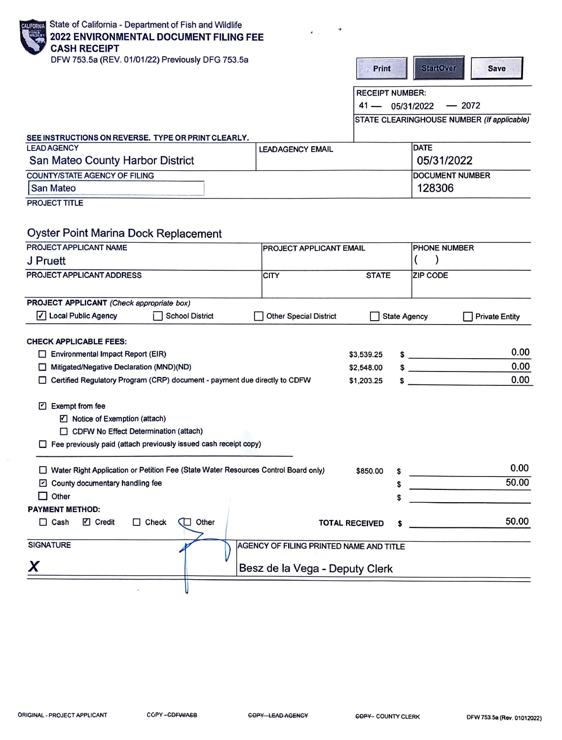| State of California - Department of Fish and Wildlife<br>CALIFORNIA<br><b>2022 ENVIRONMENTAL DOCUMENT FILING FEE</b><br><b>CASH RECEIPT</b>                           |                                         |                        |                                              |
|-----------------------------------------------------------------------------------------------------------------------------------------------------------------------|-----------------------------------------|------------------------|----------------------------------------------|
| DFW 753.5a (REV. 01/01/22) Previously DFG 753.5a                                                                                                                      |                                         | <b>Print</b>           | <b>StartOver</b><br><b>Save</b>              |
|                                                                                                                                                                       |                                         | <b>RECEIPT NUMBER:</b> |                                              |
|                                                                                                                                                                       |                                         | $41 -$                 | $-2072$<br>05/31/2022                        |
|                                                                                                                                                                       |                                         |                        | STATE CLEARINGHOUSE NUMBER (If applicable)   |
|                                                                                                                                                                       |                                         |                        |                                              |
| SEE INSTRUCTIONS ON REVERSE. TYPE OR PRINT CLEARLY.<br><b>LEAD AGENCY</b>                                                                                             | <b>LEADAGENCY EMAIL</b>                 |                        | DATE                                         |
| San Mateo County Harbor District                                                                                                                                      |                                         |                        | 05/31/2022                                   |
| <b>COUNTY/STATE AGENCY OF FILING</b>                                                                                                                                  |                                         |                        | <b>DOCUMENT NUMBER</b>                       |
| San Mateo                                                                                                                                                             |                                         |                        | 128306                                       |
| <b>PROJECT TITLE</b>                                                                                                                                                  |                                         |                        |                                              |
| <b>Oyster Point Marina Dock Replacement</b><br>PROJECT APPLICANT NAME                                                                                                 | <b>PROJECT APPLICANT EMAIL</b>          |                        | PHONE NUMBER                                 |
| J Pruett                                                                                                                                                              |                                         |                        |                                              |
| PROJECT APPLICANT ADDRESS                                                                                                                                             | <b>CITY</b>                             | <b>STATE</b>           | <b>ZIP CODE</b>                              |
| PROJECT APPLICANT (Check appropriate box)                                                                                                                             |                                         |                        |                                              |
| √ Local Public Agency<br><b>School District</b>                                                                                                                       | <b>Other Special District</b>           |                        | <b>State Agency</b><br><b>Private Entity</b> |
|                                                                                                                                                                       |                                         |                        |                                              |
| <b>CHECK APPLICABLE FEES:</b>                                                                                                                                         |                                         |                        | 0.00                                         |
| Environmental Impact Report (EIR)                                                                                                                                     |                                         | \$3,539.25             | $\sim$<br>0.00                               |
| Mitigated/Negative Declaration (MND)(ND)                                                                                                                              |                                         | \$2,548.00             | $\sim$<br>0.00                               |
| Certified Regulatory Program (CRP) document - payment due directly to CDFW                                                                                            |                                         | \$1,203.25             |                                              |
| Exempt from fee<br>☑ Notice of Exemption (attach)<br>CDFW No Effect Determination (attach)<br>$\Box$ Fee previously paid (attach previously issued cash receipt copy) |                                         |                        |                                              |
| □ Water Right Application or Petition Fee (State Water Resources Control Board only)                                                                                  |                                         | \$850.00               | 0.00                                         |
| $\Box$ County documentary handling fee                                                                                                                                |                                         | \$                     | 50.00                                        |
| $\Box$ Other                                                                                                                                                          |                                         | S                      |                                              |
| <b>PAYMENT METHOD:</b>                                                                                                                                                |                                         |                        |                                              |
| $\Box$ Cash<br>☑ Credit<br>$\Box$ Check<br>Other                                                                                                                      | <b>TOTAL RECEIVED</b>                   |                        | 50.00                                        |
| <b>SIGNATURE</b>                                                                                                                                                      | AGENCY OF FILING PRINTED NAME AND TITLE |                        |                                              |
|                                                                                                                                                                       | Besz de la Vega - Deputy Clerk          |                        |                                              |
|                                                                                                                                                                       |                                         |                        |                                              |